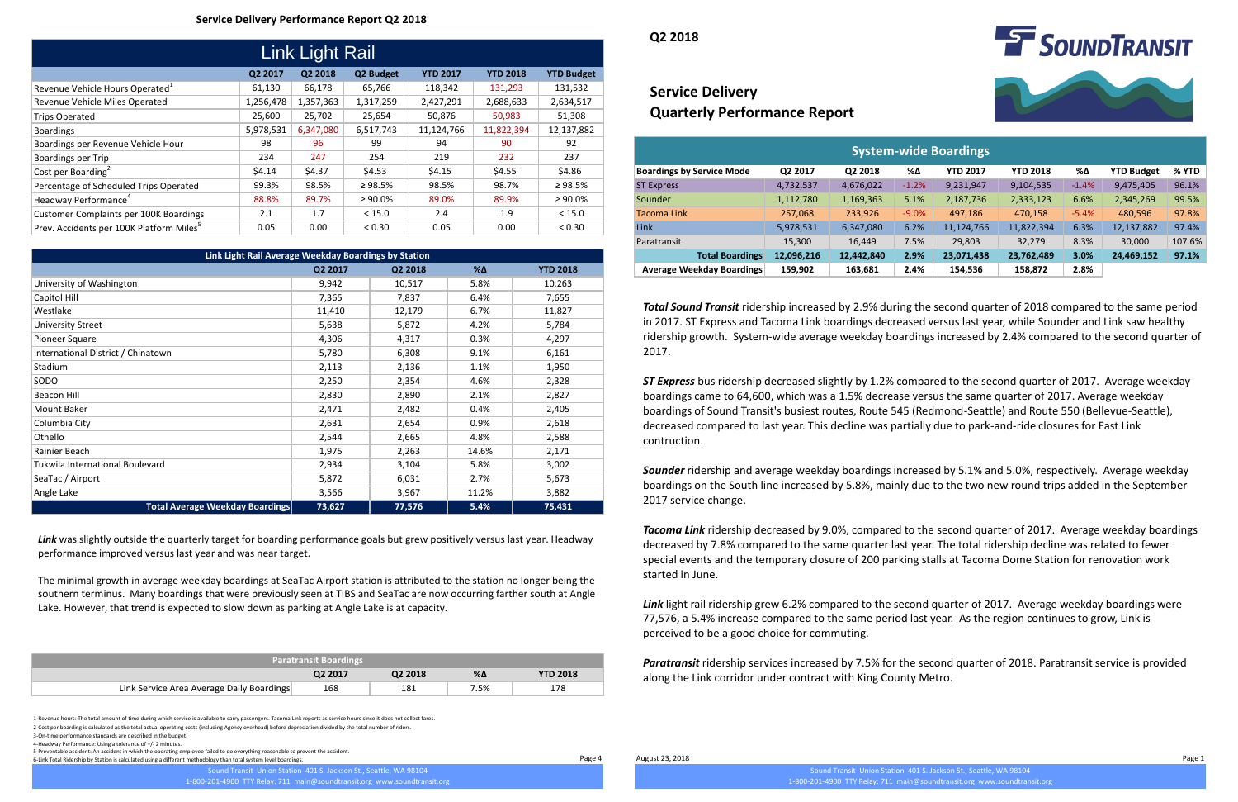1-Revenue hours: The total amount of time during which service is available to carry passengers. Tacoma Link reports as service hours since it does not collect fares. 2-Cost per boarding is calculated as the total actual operating costs (including Agency overhead) before depreciation divided by the total number of riders. 3-On-time performance standards are described in the budget.

4-Headway Performance: Using a tolerance of +/- 2 minutes.

# **Service Delivery Quarterly Performance Report**

5-Preventable accident: An accident in which the operating employee failed to do everything reasonable to prevent the accident.

6-Link Total Ridership by Station is calculated using a different methodology than total system level boardings.

### **Service Delivery Performance Report Q2 2018**

**Q2 2018**

|                                                      | Link Light Rail | UL LUIO   |               |                 |                 |                   |                                     |           |                              |         |                 |
|------------------------------------------------------|-----------------|-----------|---------------|-----------------|-----------------|-------------------|-------------------------------------|-----------|------------------------------|---------|-----------------|
|                                                      | Q2 2017         | Q2 2018   | Q2 Budget     | <b>YTD 2017</b> | <b>YTD 2018</b> | <b>YTD Budget</b> |                                     |           |                              |         |                 |
| Revenue Vehicle Hours Operated <sup>1</sup>          | 61,130          | 66,178    | 65,766        | 118,342         | 131,293         | 131,532           | <b>Service Delivery</b>             |           |                              |         |                 |
| Revenue Vehicle Miles Operated                       | 1,256,478       | 1,357,363 | 1,317,259     | 2,427,291       | 2,688,633       | 2,634,517         |                                     |           |                              |         |                 |
| <b>Trips Operated</b>                                | 25,600          | 25,702    | 25,654        | 50,876          | 50,983          | 51,308            | <b>Quarterly Performance Report</b> |           |                              |         |                 |
| Boardings                                            | 5,978,531       | 6,347,080 | 6,517,743     | 11,124,766      | 11,822,394      | 12,137,882        |                                     |           |                              |         |                 |
| Boardings per Revenue Vehicle Hour                   | 98              | 96        | 99            | 94              | 90              | 92                |                                     |           | <b>System-wide Boardings</b> |         |                 |
| Boardings per Trip                                   | 234             | 247       | 254           | 219             | 232             | 237               |                                     |           |                              |         |                 |
| Cost per Boarding <sup>2</sup>                       | \$4.14          | \$4.37    | \$4.53        | \$4.15          | \$4.55          | \$4.86            | <b>Boardings by Service Mode</b>    | Q2 2017   | Q2 2018                      | %Δ      | <b>YTD 2017</b> |
| Percentage of Scheduled Trips Operated               | 99.3%           | 98.5%     | $\geq 98.5\%$ | 98.5%           | 98.7%           | $\geq 98.5\%$     | <b>ST Express</b>                   | 4,732,537 | 4,676,022                    | $-1.2%$ | 9,231,947       |
| Headway Performance <sup>4</sup>                     | 88.8%           | 89.7%     | $\geq 90.0\%$ | 89.0%           | 89.9%           | $\geq 90.0\%$     | Sounder                             | 1,112,780 | 1,169,363                    | 5.1%    | 2,187,736       |
| Customer Complaints per 100K Boardings               | 2.1             | 1.7       | < 15.0        | 2.4             | 1.9             | < 15.0            | <b>Tacoma Link</b>                  | 257,068   | 233,926                      | $-9.0%$ | 497,186         |
| Prev. Accidents per 100K Platform Miles <sup>5</sup> | 0.05            | 0.00      | < 0.30        | 0.05            | 0.00            | < 0.30            | Link                                | 5,978,531 | 6,347,080                    | 6.2%    | 11,124,766      |

| 98     | 96      | 99                                                   | 94      | 90     | 92              |                   |                                  |            |            |         | <b>System-wide Boardings</b> |                 |         |                   |        |
|--------|---------|------------------------------------------------------|---------|--------|-----------------|-------------------|----------------------------------|------------|------------|---------|------------------------------|-----------------|---------|-------------------|--------|
| 234    | 247     | 254                                                  | 219     | 232    | 237             |                   |                                  |            |            |         |                              |                 |         |                   |        |
| \$4.14 | \$4.37  | \$4.53                                               | \$4.15  | \$4.55 | \$4.86          |                   | <b>Boardings by Service Mode</b> | Q2 2017    | Q2 2018    | %Δ      | <b>YTD 2017</b>              | <b>YTD 2018</b> | %Δ      | <b>YTD Budget</b> | % YTD  |
| 99.3%  | 98.5%   | ≥ 98.5%                                              | 98.5%   | 98.7%  | $\geq 98.5\%$   | <b>ST Express</b> |                                  | 4,732,537  | 4,676,022  | $-1.2%$ | 9,231,947                    | 9,104,535       | $-1.4%$ | 9,475,405         | 96.1%  |
| 88.8%  | 89.7%   | $\geq 90.0\%$                                        | 89.0%   | 89.9%  | $\geq 90.0\%$   | Sounder           |                                  | 1,112,780  | 1,169,363  | 5.1%    | 2,187,736                    | 2,333,123       | 6.6%    | 2,345,269         | 99.5%  |
| 2.1    | 1.7     | < 15.0                                               | 2.4     | 1.9    | < 15.0          | Tacoma Link       |                                  | 257,068    | 233,926    | $-9.0%$ | 497,186                      | 470,158         | $-5.4%$ | 480,596           | 97.8%  |
| 0.05   | 0.00    | < 0.30                                               | 0.05    | 0.00   | < 0.30          | Link              |                                  | 5,978,531  | 6,347,080  | 6.2%    | 11,124,766                   | 11,822,394      | 6.3%    | 12,137,882        | 97.4%  |
|        |         |                                                      |         |        |                 | Paratransit       |                                  | 15,300     | 16,449     | 7.5%    | 29,803                       | 32,279          | 8.3%    | 30,000            | 107.6% |
|        |         | Link Light Rail Average Weekday Boardings by Station |         |        |                 |                   | <b>Total Boardings</b>           | 12,096,216 | 12,442,840 | 2.9%    | 23,071,438                   | 23,762,489      | 3.0%    | 24,469,152        | 97.1%  |
|        | Q2 2017 |                                                      | Q2 2018 | %Δ     | <b>YTD 2018</b> |                   | <b>Average Weekday Boardings</b> | 159,902    | 163,681    | 2.4%    | 154,536                      | 158,872         | 2.8%    |                   |        |

Link light rail ridership grew 6.2% compared to the second quarter of 2017. Average weekday boardings were 77,576, a 5.4% increase compared to the same period last year. As the region continues to grow, Link is perceived to be a good choice for commuting.

| Link Light Rail Average Weekday Boardings by Station |         |         |            |                 |  |  |  |  |  |
|------------------------------------------------------|---------|---------|------------|-----------------|--|--|--|--|--|
|                                                      | Q2 2017 | Q2 2018 | $% \Delta$ | <b>YTD 2018</b> |  |  |  |  |  |
| University of Washington                             | 9,942   | 10,517  | 5.8%       | 10,263          |  |  |  |  |  |
| Capitol Hill                                         | 7,365   | 7,837   | 6.4%       | 7,655           |  |  |  |  |  |
| Westlake                                             | 11,410  | 12,179  | 6.7%       | 11,827          |  |  |  |  |  |
| <b>University Street</b>                             | 5,638   | 5,872   | 4.2%       | 5,784           |  |  |  |  |  |
| Pioneer Square                                       | 4,306   | 4,317   | 0.3%       | 4,297           |  |  |  |  |  |
| International District / Chinatown                   | 5,780   | 6,308   | 9.1%       | 6,161           |  |  |  |  |  |
| <b>Stadium</b>                                       | 2,113   | 2,136   | 1.1%       | 1,950           |  |  |  |  |  |
| SODO                                                 | 2,250   | 2,354   | 4.6%       | 2,328           |  |  |  |  |  |
| Beacon Hill                                          | 2,830   | 2,890   | 2.1%       | 2,827           |  |  |  |  |  |
| Mount Baker                                          | 2,471   | 2,482   | 0.4%       | 2,405           |  |  |  |  |  |
| Columbia City                                        | 2,631   | 2,654   | 0.9%       | 2,618           |  |  |  |  |  |
| Othello                                              | 2,544   | 2,665   | 4.8%       | 2,588           |  |  |  |  |  |
| Rainier Beach                                        | 1,975   | 2,263   | 14.6%      | 2,171           |  |  |  |  |  |
| Tukwila International Boulevard                      | 2,934   | 3,104   | 5.8%       | 3,002           |  |  |  |  |  |
| SeaTac / Airport                                     | 5,872   | 6,031   | 2.7%       | 5,673           |  |  |  |  |  |
| Angle Lake                                           | 3,566   | 3,967   | 11.2%      | 3,882           |  |  |  |  |  |
| <b>Total Average Weekday Boardings</b>               | 73,627  | 77,576  | 5.4%       | 75,431          |  |  |  |  |  |

Link was slightly outside the quarterly target for boarding performance goals but grew positively versus last year. Headway performance improved versus last year and was near target.

Page 4 August 23, 2018 Page 1

Sound Transit Union Station 401 S. Jackson St., Seattle, WA 98104

1-800-201-4900 TTY Relay: 711 main@soundtransit.org www.soundtransit.org



| <b>Paratransit Boardings</b>              |                     |         |            |                 |  |  |  |  |  |
|-------------------------------------------|---------------------|---------|------------|-----------------|--|--|--|--|--|
|                                           | O <sub>2</sub> 2017 | Q2 2018 | $% \Delta$ | <b>YTD 2018</b> |  |  |  |  |  |
| Link Service Area Average Daily Boardings | 168                 | 181     | 7.5%       | 178             |  |  |  |  |  |

*Total Sound Transit* ridership increased by 2.9% during the second quarter of 2018 compared to the same period in 2017. ST Express and Tacoma Link boardings decreased versus last year, while Sounder and Link saw healthy ridership growth. System-wide average weekday boardings increased by 2.4% compared to the second quarter of 2017.

*ST Express* bus ridership decreased slightly by 1.2% compared to the second quarter of 2017. Average weekday boardings came to 64,600, which was a 1.5% decrease versus the same quarter of 2017. Average weekday boardings of Sound Transit's busiest routes, Route 545 (Redmond-Seattle) and Route 550 (Bellevue-Seattle), decreased compared to last year. This decline was partially due to park-and-ride closures for East Link contruction.

*Sounder* ridership and average weekday boardings increased by 5.1% and 5.0%, respectively. Average weekday boardings on the South line increased by 5.8%, mainly due to the two new round trips added in the September 2017 service change.

*Tacoma Link* ridership decreased by 9.0%, compared to the second quarter of 2017. Average weekday boardings decreased by 7.8% compared to the same quarter last year. The total ridership decline was related to fewer special events and the temporary closure of 200 parking stalls at Tacoma Dome Station for renovation work started in June.

*Paratransit* ridership services increased by 7.5% for the second quarter of 2018. Paratransit service is provided along the Link corridor under contract with King County Metro.

The minimal growth in average weekday boardings at SeaTac Airport station is attributed to the station no longer being the southern terminus. Many boardings that were previously seen at TIBS and SeaTac are now occurring farther south at Angle Lake. However, that trend is expected to slow down as parking at Angle Lake is at capacity.